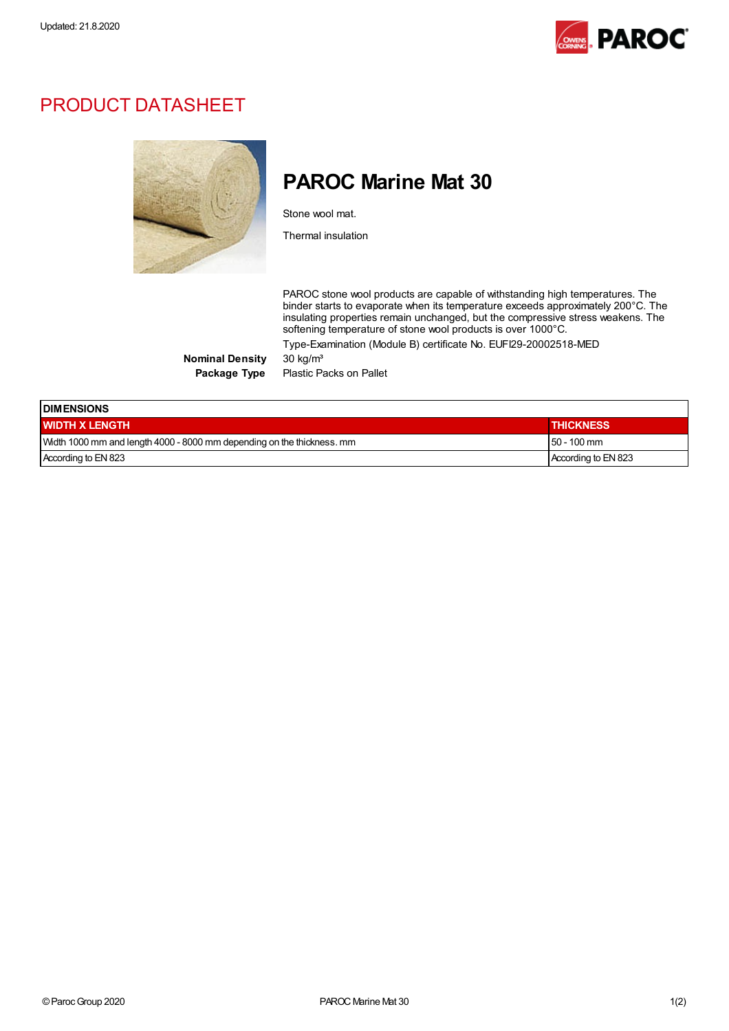

## PRODUCT DATASHEET



## PAROC Marine Mat 30

Stone wool mat.

Thermal insulation

PAROC stone wool products are capable of withstanding high temperatures. The binder starts to evaporate when its temperature exceeds approximately 200°C. The insulating properties remain unchanged, but the compressive stress weakens. The softening temperature of stone wool products is over 1000°C. Type-Examination (Module B) certificate No. EUFI29-20002518-MED

Nominal Density 30 kg/m<sup>3</sup>

Package Type Plastic Packs on Pallet

| <b>IDIMENSIONS</b>                                                     |                     |  |  |  |
|------------------------------------------------------------------------|---------------------|--|--|--|
| <b>WIDTH X LENGTH</b>                                                  | <b>THICKNESS</b>    |  |  |  |
| Width 1000 mm and length 4000 - 8000 mm depending on the thickness. mm | $150 - 100$ mm      |  |  |  |
| According to EN 823                                                    | According to EN 823 |  |  |  |